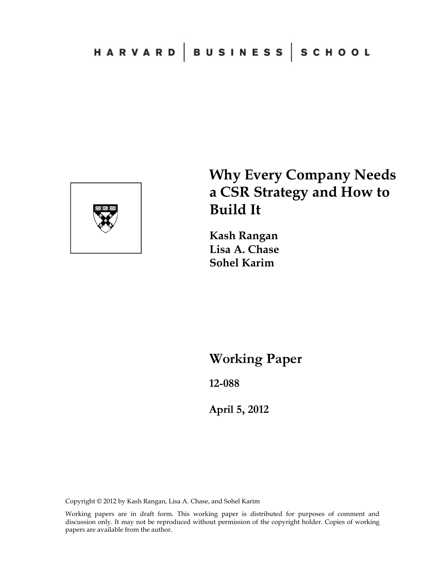

# **Why Every Company Needs a CSR Strategy and How to Build It**

**Kash Rangan Lisa A. Chase Sohel Karim** 

**Working Paper** 

**12-088** 

**April 5, 2012**

Copyright © 2012 by Kash Rangan, Lisa A. Chase, and Sohel Karim

Working papers are in draft form. This working paper is distributed for purposes of comment and discussion only. It may not be reproduced without permission of the copyright holder. Copies of working papers are available from the author.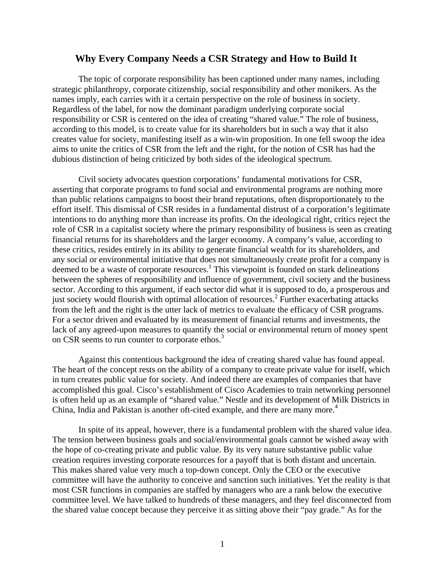## **Why Every Company Needs a CSR Strategy and How to Build It**

 The topic of corporate responsibility has been captioned under many names, including strategic philanthropy, corporate citizenship, social responsibility and other monikers. As the names imply, each carries with it a certain perspective on the role of business in society. Regardless of the label, for now the dominant paradigm underlying corporate social responsibility or CSR is centered on the idea of creating "shared value." The role of business, according to this model, is to create value for its shareholders but in such a way that it also creates value for society, manifesting itself as a win-win proposition. In one fell swoop the idea aims to unite the critics of CSR from the left and the right, for the notion of CSR has had the dubious distinction of being criticized by both sides of the ideological spectrum.

 Civil society advocates question corporations' fundamental motivations for CSR, asserting that corporate programs to fund social and environmental programs are nothing more than public relations campaigns to boost their brand reputations, often disproportionately to the effort itself. This dismissal of CSR resides in a fundamental distrust of a corporation's legitimate intentions to do anything more than increase its profits. On the ideological right, critics reject the role of CSR in a capitalist society where the primary responsibility of business is seen as creating financial returns for its shareholders and the larger economy. A company's value, according to these critics, resides entirely in its ability to generate financial wealth for its shareholders, and any social or environmental initiative that does not simultaneously create profit for a company is deemed to be a waste of corporate resources.<sup>1</sup> This viewpoint is founded on stark delineations between the spheres of responsibility and influence of government, civil society and the business sector. According to this argument, if each sector did what it is supposed to do, a prosperous and just society would flourish with optimal allocation of resources.<sup>2</sup> Further exacerbating attacks from the left and the right is the utter lack of metrics to evaluate the efficacy of CSR programs. For a sector driven and evaluated by its measurement of financial returns and investments, the lack of any agreed-upon measures to quantify the social or environmental return of money spent on CSR seems to run counter to corporate ethos.<sup>3</sup>

 Against this contentious background the idea of creating shared value has found appeal. The heart of the concept rests on the ability of a company to create private value for itself, which in turn creates public value for society. And indeed there are examples of companies that have accomplished this goal. Cisco's establishment of Cisco Academies to train networking personnel is often held up as an example of "shared value." Nestle and its development of Milk Districts in China, India and Pakistan is another oft-cited example, and there are many more.<sup>4</sup>

 In spite of its appeal, however, there is a fundamental problem with the shared value idea. The tension between business goals and social/environmental goals cannot be wished away with the hope of co-creating private and public value. By its very nature substantive public value creation requires investing corporate resources for a payoff that is both distant and uncertain. This makes shared value very much a top-down concept. Only the CEO or the executive committee will have the authority to conceive and sanction such initiatives. Yet the reality is that most CSR functions in companies are staffed by managers who are a rank below the executive committee level. We have talked to hundreds of these managers, and they feel disconnected from the shared value concept because they perceive it as sitting above their "pay grade." As for the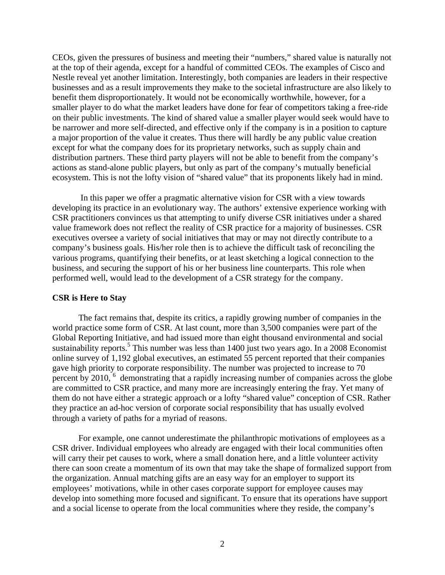CEOs, given the pressures of business and meeting their "numbers," shared value is naturally not at the top of their agenda, except for a handful of committed CEOs. The examples of Cisco and Nestle reveal yet another limitation. Interestingly, both companies are leaders in their respective businesses and as a result improvements they make to the societal infrastructure are also likely to benefit them disproportionately. It would not be economically worthwhile, however, for a smaller player to do what the market leaders have done for fear of competitors taking a free-ride on their public investments. The kind of shared value a smaller player would seek would have to be narrower and more self-directed, and effective only if the company is in a position to capture a major proportion of the value it creates. Thus there will hardly be any public value creation except for what the company does for its proprietary networks, such as supply chain and distribution partners. These third party players will not be able to benefit from the company's actions as stand-alone public players, but only as part of the company's mutually beneficial ecosystem. This is not the lofty vision of "shared value" that its proponents likely had in mind.

 In this paper we offer a pragmatic alternative vision for CSR with a view towards developing its practice in an evolutionary way. The authors' extensive experience working with CSR practitioners convinces us that attempting to unify diverse CSR initiatives under a shared value framework does not reflect the reality of CSR practice for a majority of businesses. CSR executives oversee a variety of social initiatives that may or may not directly contribute to a company's business goals. His/her role then is to achieve the difficult task of reconciling the various programs, quantifying their benefits, or at least sketching a logical connection to the business, and securing the support of his or her business line counterparts. This role when performed well, would lead to the development of a CSR strategy for the company.

## **CSR is Here to Stay**

 The fact remains that, despite its critics, a rapidly growing number of companies in the world practice some form of CSR. At last count, more than 3,500 companies were part of the Global Reporting Initiative, and had issued more than eight thousand environmental and social sustainability reports.<sup>5</sup> This number was less than 1400 just two years ago. In a 2008 Economist online survey of 1,192 global executives, an estimated 55 percent reported that their companies gave high priority to corporate responsibility. The number was projected to increase to 70 percent by 2010, <sup>6</sup> demonstrating that a rapidly increasing number of companies across the globe are committed to CSR practice, and many more are increasingly entering the fray. Yet many of them do not have either a strategic approach or a lofty "shared value" conception of CSR. Rather they practice an ad-hoc version of corporate social responsibility that has usually evolved through a variety of paths for a myriad of reasons.

 For example, one cannot underestimate the philanthropic motivations of employees as a CSR driver. Individual employees who already are engaged with their local communities often will carry their pet causes to work, where a small donation here, and a little volunteer activity there can soon create a momentum of its own that may take the shape of formalized support from the organization. Annual matching gifts are an easy way for an employer to support its employees' motivations, while in other cases corporate support for employee causes may develop into something more focused and significant. To ensure that its operations have support and a social license to operate from the local communities where they reside, the company's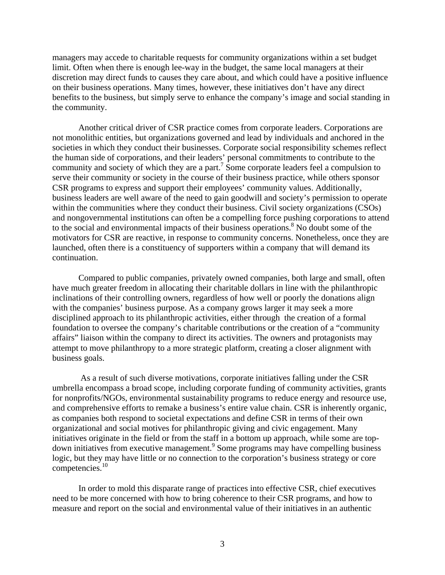managers may accede to charitable requests for community organizations within a set budget limit. Often when there is enough lee-way in the budget, the same local managers at their discretion may direct funds to causes they care about, and which could have a positive influence on their business operations. Many times, however, these initiatives don't have any direct benefits to the business, but simply serve to enhance the company's image and social standing in the community.

 Another critical driver of CSR practice comes from corporate leaders. Corporations are not monolithic entities, but organizations governed and lead by individuals and anchored in the societies in which they conduct their businesses. Corporate social responsibility schemes reflect the human side of corporations, and their leaders' personal commitments to contribute to the community and society of which they are a part.<sup>7</sup> Some corporate leaders feel a compulsion to serve their community or society in the course of their business practice, while others sponsor CSR programs to express and support their employees' community values. Additionally, business leaders are well aware of the need to gain goodwill and society's permission to operate within the communities where they conduct their business. Civil society organizations (CSOs) and nongovernmental institutions can often be a compelling force pushing corporations to attend to the social and environmental impacts of their business operations.<sup>8</sup> No doubt some of the motivators for CSR are reactive, in response to community concerns. Nonetheless, once they are launched, often there is a constituency of supporters within a company that will demand its continuation.

 Compared to public companies, privately owned companies, both large and small, often have much greater freedom in allocating their charitable dollars in line with the philanthropic inclinations of their controlling owners, regardless of how well or poorly the donations align with the companies' business purpose. As a company grows larger it may seek a more disciplined approach to its philanthropic activities, either through the creation of a formal foundation to oversee the company's charitable contributions or the creation of a "community affairs" liaison within the company to direct its activities. The owners and protagonists may attempt to move philanthropy to a more strategic platform, creating a closer alignment with business goals.

 As a result of such diverse motivations, corporate initiatives falling under the CSR umbrella encompass a broad scope, including corporate funding of community activities, grants for nonprofits/NGOs, environmental sustainability programs to reduce energy and resource use, and comprehensive efforts to remake a business's entire value chain. CSR is inherently organic, as companies both respond to societal expectations and define CSR in terms of their own organizational and social motives for philanthropic giving and civic engagement. Many initiatives originate in the field or from the staff in a bottom up approach, while some are topdown initiatives from executive management.<sup>9</sup> Some programs may have compelling business logic, but they may have little or no connection to the corporation's business strategy or core competencies.10

In order to mold this disparate range of practices into effective CSR, chief executives need to be more concerned with how to bring coherence to their CSR programs, and how to measure and report on the social and environmental value of their initiatives in an authentic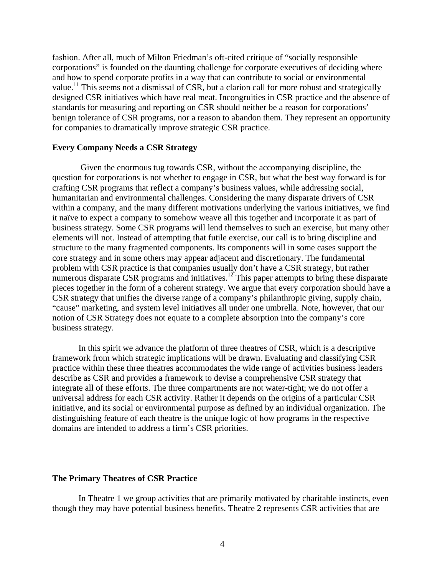fashion. After all, much of Milton Friedman's oft-cited critique of "socially responsible corporations" is founded on the daunting challenge for corporate executives of deciding where and how to spend corporate profits in a way that can contribute to social or environmental value.<sup>11</sup> This seems not a dismissal of CSR, but a clarion call for more robust and strategically designed CSR initiatives which have real meat. Incongruities in CSR practice and the absence of standards for measuring and reporting on CSR should neither be a reason for corporations' benign tolerance of CSR programs, nor a reason to abandon them. They represent an opportunity for companies to dramatically improve strategic CSR practice.

#### **Every Company Needs a CSR Strategy**

 Given the enormous tug towards CSR, without the accompanying discipline, the question for corporations is not whether to engage in CSR, but what the best way forward is for crafting CSR programs that reflect a company's business values, while addressing social, humanitarian and environmental challenges. Considering the many disparate drivers of CSR within a company, and the many different motivations underlying the various initiatives, we find it naïve to expect a company to somehow weave all this together and incorporate it as part of business strategy. Some CSR programs will lend themselves to such an exercise, but many other elements will not. Instead of attempting that futile exercise, our call is to bring discipline and structure to the many fragmented components. Its components will in some cases support the core strategy and in some others may appear adjacent and discretionary. The fundamental problem with CSR practice is that companies usually don't have a CSR strategy, but rather numerous disparate CSR programs and initiatives.<sup>12</sup> This paper attempts to bring these disparate pieces together in the form of a coherent strategy. We argue that every corporation should have a CSR strategy that unifies the diverse range of a company's philanthropic giving, supply chain, "cause" marketing, and system level initiatives all under one umbrella. Note, however, that our notion of CSR Strategy does not equate to a complete absorption into the company's core business strategy.

 In this spirit we advance the platform of three theatres of CSR, which is a descriptive framework from which strategic implications will be drawn. Evaluating and classifying CSR practice within these three theatres accommodates the wide range of activities business leaders describe as CSR and provides a framework to devise a comprehensive CSR strategy that integrate all of these efforts. The three compartments are not water-tight; we do not offer a universal address for each CSR activity. Rather it depends on the origins of a particular CSR initiative, and its social or environmental purpose as defined by an individual organization. The distinguishing feature of each theatre is the unique logic of how programs in the respective domains are intended to address a firm's CSR priorities.

## **The Primary Theatres of CSR Practice**

 In Theatre 1 we group activities that are primarily motivated by charitable instincts, even though they may have potential business benefits. Theatre 2 represents CSR activities that are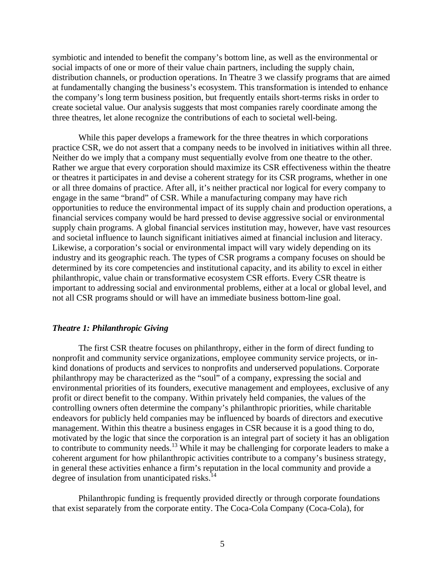symbiotic and intended to benefit the company's bottom line, as well as the environmental or social impacts of one or more of their value chain partners, including the supply chain, distribution channels, or production operations. In Theatre 3 we classify programs that are aimed at fundamentally changing the business's ecosystem. This transformation is intended to enhance the company's long term business position, but frequently entails short-terms risks in order to create societal value. Our analysis suggests that most companies rarely coordinate among the three theatres, let alone recognize the contributions of each to societal well-being.

 While this paper develops a framework for the three theatres in which corporations practice CSR, we do not assert that a company needs to be involved in initiatives within all three. Neither do we imply that a company must sequentially evolve from one theatre to the other. Rather we argue that every corporation should maximize its CSR effectiveness within the theatre or theatres it participates in and devise a coherent strategy for its CSR programs, whether in one or all three domains of practice. After all, it's neither practical nor logical for every company to engage in the same "brand" of CSR. While a manufacturing company may have rich opportunities to reduce the environmental impact of its supply chain and production operations, a financial services company would be hard pressed to devise aggressive social or environmental supply chain programs. A global financial services institution may, however, have vast resources and societal influence to launch significant initiatives aimed at financial inclusion and literacy. Likewise, a corporation's social or environmental impact will vary widely depending on its industry and its geographic reach. The types of CSR programs a company focuses on should be determined by its core competencies and institutional capacity, and its ability to excel in either philanthropic, value chain or transformative ecosystem CSR efforts. Every CSR theatre is important to addressing social and environmental problems, either at a local or global level, and not all CSR programs should or will have an immediate business bottom-line goal.

## *Theatre 1: Philanthropic Giving*

 The first CSR theatre focuses on philanthropy, either in the form of direct funding to nonprofit and community service organizations, employee community service projects, or inkind donations of products and services to nonprofits and underserved populations. Corporate philanthropy may be characterized as the "soul" of a company, expressing the social and environmental priorities of its founders, executive management and employees, exclusive of any profit or direct benefit to the company. Within privately held companies, the values of the controlling owners often determine the company's philanthropic priorities, while charitable endeavors for publicly held companies may be influenced by boards of directors and executive management. Within this theatre a business engages in CSR because it is a good thing to do, motivated by the logic that since the corporation is an integral part of society it has an obligation to contribute to community needs.<sup>13</sup> While it may be challenging for corporate leaders to make a coherent argument for how philanthropic activities contribute to a company's business strategy, in general these activities enhance a firm's reputation in the local community and provide a degree of insulation from unanticipated risks. $14$ 

 Philanthropic funding is frequently provided directly or through corporate foundations that exist separately from the corporate entity. The Coca-Cola Company (Coca-Cola), for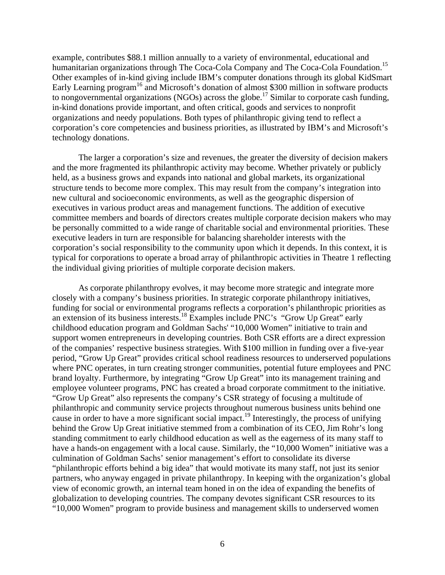example, contributes \$88.1 million annually to a variety of environmental, educational and humanitarian organizations through The Coca-Cola Company and The Coca-Cola Foundation.<sup>15</sup> Other examples of in-kind giving include IBM's computer donations through its global KidSmart Early Learning program<sup>16</sup> and Microsoft's donation of almost \$300 million in software products to nongovernmental organizations (NGOs) across the globe.<sup>17</sup> Similar to corporate cash funding, in-kind donations provide important, and often critical, goods and services to nonprofit organizations and needy populations. Both types of philanthropic giving tend to reflect a corporation's core competencies and business priorities, as illustrated by IBM's and Microsoft's technology donations.

 The larger a corporation's size and revenues, the greater the diversity of decision makers and the more fragmented its philanthropic activity may become. Whether privately or publicly held, as a business grows and expands into national and global markets, its organizational structure tends to become more complex. This may result from the company's integration into new cultural and socioeconomic environments, as well as the geographic dispersion of executives in various product areas and management functions. The addition of executive committee members and boards of directors creates multiple corporate decision makers who may be personally committed to a wide range of charitable social and environmental priorities. These executive leaders in turn are responsible for balancing shareholder interests with the corporation's social responsibility to the community upon which it depends. In this context, it is typical for corporations to operate a broad array of philanthropic activities in Theatre 1 reflecting the individual giving priorities of multiple corporate decision makers.

 As corporate philanthropy evolves, it may become more strategic and integrate more closely with a company's business priorities. In strategic corporate philanthropy initiatives, funding for social or environmental programs reflects a corporation's philanthropic priorities as an extension of its business interests.18 Examples include PNC's "Grow Up Great" early childhood education program and Goldman Sachs' "10,000 Women" initiative to train and support women entrepreneurs in developing countries. Both CSR efforts are a direct expression of the companies' respective business strategies. With \$100 million in funding over a five-year period, "Grow Up Great" provides critical school readiness resources to underserved populations where PNC operates, in turn creating stronger communities, potential future employees and PNC brand loyalty. Furthermore, by integrating "Grow Up Great" into its management training and employee volunteer programs, PNC has created a broad corporate commitment to the initiative. "Grow Up Great" also represents the company's CSR strategy of focusing a multitude of philanthropic and community service projects throughout numerous business units behind one cause in order to have a more significant social impact.<sup>19</sup> Interestingly, the process of unifying behind the Grow Up Great initiative stemmed from a combination of its CEO, Jim Rohr's long standing commitment to early childhood education as well as the eagerness of its many staff to have a hands-on engagement with a local cause. Similarly, the "10,000 Women" initiative was a culmination of Goldman Sachs' senior management's effort to consolidate its diverse "philanthropic efforts behind a big idea" that would motivate its many staff, not just its senior partners, who anyway engaged in private philanthropy. In keeping with the organization's global view of economic growth, an internal team honed in on the idea of expanding the benefits of globalization to developing countries. The company devotes significant CSR resources to its "10,000 Women" program to provide business and management skills to underserved women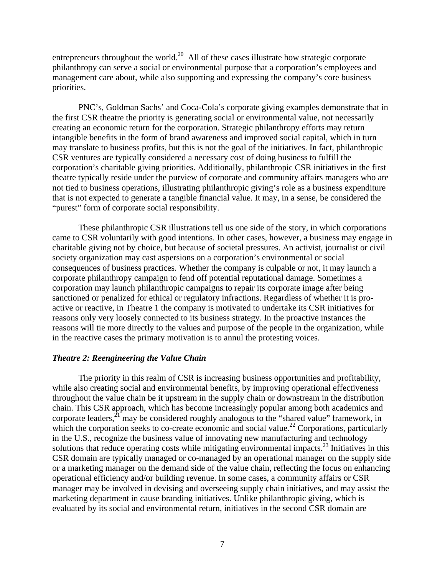entrepreneurs throughout the world.<sup>20</sup> All of these cases illustrate how strategic corporate philanthropy can serve a social or environmental purpose that a corporation's employees and management care about, while also supporting and expressing the company's core business priorities.

 PNC's, Goldman Sachs' and Coca-Cola's corporate giving examples demonstrate that in the first CSR theatre the priority is generating social or environmental value, not necessarily creating an economic return for the corporation. Strategic philanthropy efforts may return intangible benefits in the form of brand awareness and improved social capital, which in turn may translate to business profits, but this is not the goal of the initiatives. In fact, philanthropic CSR ventures are typically considered a necessary cost of doing business to fulfill the corporation's charitable giving priorities. Additionally, philanthropic CSR initiatives in the first theatre typically reside under the purview of corporate and community affairs managers who are not tied to business operations, illustrating philanthropic giving's role as a business expenditure that is not expected to generate a tangible financial value. It may, in a sense, be considered the "purest" form of corporate social responsibility.

 These philanthropic CSR illustrations tell us one side of the story, in which corporations came to CSR voluntarily with good intentions. In other cases, however, a business may engage in charitable giving not by choice, but because of societal pressures. An activist, journalist or civil society organization may cast aspersions on a corporation's environmental or social consequences of business practices. Whether the company is culpable or not, it may launch a corporate philanthropy campaign to fend off potential reputational damage. Sometimes a corporation may launch philanthropic campaigns to repair its corporate image after being sanctioned or penalized for ethical or regulatory infractions. Regardless of whether it is proactive or reactive, in Theatre 1 the company is motivated to undertake its CSR initiatives for reasons only very loosely connected to its business strategy. In the proactive instances the reasons will tie more directly to the values and purpose of the people in the organization, while in the reactive cases the primary motivation is to annul the protesting voices.

#### *Theatre 2: Reengineering the Value Chain*

 The priority in this realm of CSR is increasing business opportunities and profitability, while also creating social and environmental benefits, by improving operational effectiveness throughout the value chain be it upstream in the supply chain or downstream in the distribution chain. This CSR approach, which has become increasingly popular among both academics and corporate leaders, $^{21}$  may be considered roughly analogous to the "shared value" framework, in which the corporation seeks to co-create economic and social value.<sup>22</sup> Corporations, particularly in the U.S., recognize the business value of innovating new manufacturing and technology solutions that reduce operating costs while mitigating environmental impacts.<sup>23</sup> Initiatives in this CSR domain are typically managed or co-managed by an operational manager on the supply side or a marketing manager on the demand side of the value chain, reflecting the focus on enhancing operational efficiency and/or building revenue. In some cases, a community affairs or CSR manager may be involved in devising and overseeing supply chain initiatives, and may assist the marketing department in cause branding initiatives. Unlike philanthropic giving, which is evaluated by its social and environmental return, initiatives in the second CSR domain are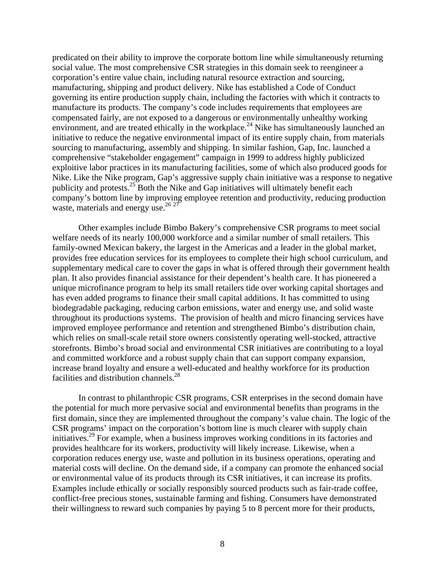predicated on their ability to improve the corporate bottom line while simultaneously returning social value. The most comprehensive CSR strategies in this domain seek to reengineer a corporation's entire value chain, including natural resource extraction and sourcing, manufacturing, shipping and product delivery. Nike has established a Code of Conduct governing its entire production supply chain, including the factories with which it contracts to manufacture its products. The company's code includes requirements that employees are compensated fairly, are not exposed to a dangerous or environmentally unhealthy working environment, and are treated ethically in the workplace.<sup>24</sup> Nike has simultaneously launched an initiative to reduce the negative environmental impact of its entire supply chain, from materials sourcing to manufacturing, assembly and shipping. In similar fashion, Gap, Inc. launched a comprehensive "stakeholder engagement" campaign in 1999 to address highly publicized exploitive labor practices in its manufacturing facilities, some of which also produced goods for Nike. Like the Nike program, Gap's aggressive supply chain initiative was a response to negative publicity and protests.25 Both the Nike and Gap initiatives will ultimately benefit each company's bottom line by improving employee retention and productivity, reducing production waste, materials and energy use.<sup>26 27</sup>

 Other examples include Bimbo Bakery's comprehensive CSR programs to meet social welfare needs of its nearly 100,000 workforce and a similar number of small retailers. This family-owned Mexican bakery, the largest in the Americas and a leader in the global market, provides free education services for its employees to complete their high school curriculum, and supplementary medical care to cover the gaps in what is offered through their government health plan. It also provides financial assistance for their dependent's health care. It has pioneered a unique microfinance program to help its small retailers tide over working capital shortages and has even added programs to finance their small capital additions. It has committed to using biodegradable packaging, reducing carbon emissions, water and energy use, and solid waste throughout its productions systems. The provision of health and micro financing services have improved employee performance and retention and strengthened Bimbo's distribution chain, which relies on small-scale retail store owners consistently operating well-stocked, attractive storefronts. Bimbo's broad social and environmental CSR initiatives are contributing to a loyal and committed workforce and a robust supply chain that can support company expansion, increase brand loyalty and ensure a well-educated and healthy workforce for its production facilities and distribution channels.<sup>28</sup>

 In contrast to philanthropic CSR programs, CSR enterprises in the second domain have the potential for much more pervasive social and environmental benefits than programs in the first domain, since they are implemented throughout the company's value chain. The logic of the CSR programs' impact on the corporation's bottom line is much clearer with supply chain initiatives.29 For example, when a business improves working conditions in its factories and provides healthcare for its workers, productivity will likely increase. Likewise, when a corporation reduces energy use, waste and pollution in its business operations, operating and material costs will decline. On the demand side, if a company can promote the enhanced social or environmental value of its products through its CSR initiatives, it can increase its profits. Examples include ethically or socially responsibly sourced products such as fair-trade coffee, conflict-free precious stones, sustainable farming and fishing. Consumers have demonstrated their willingness to reward such companies by paying 5 to 8 percent more for their products,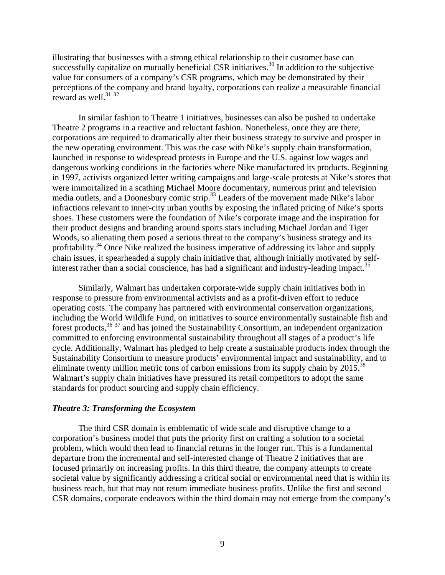illustrating that businesses with a strong ethical relationship to their customer base can successfully capitalize on mutually beneficial CSR initiatives.<sup>30</sup> In addition to the subjective value for consumers of a company's CSR programs, which may be demonstrated by their perceptions of the company and brand loyalty, corporations can realize a measurable financial reward as well.<sup>31 32</sup>

 In similar fashion to Theatre 1 initiatives, businesses can also be pushed to undertake Theatre 2 programs in a reactive and reluctant fashion. Nonetheless, once they are there, corporations are required to dramatically alter their business strategy to survive and prosper in the new operating environment. This was the case with Nike's supply chain transformation, launched in response to widespread protests in Europe and the U.S. against low wages and dangerous working conditions in the factories where Nike manufactured its products. Beginning in 1997, activists organized letter writing campaigns and large-scale protests at Nike's stores that were immortalized in a scathing Michael Moore documentary, numerous print and television media outlets, and a Doonesbury comic strip.<sup>33</sup> Leaders of the movement made Nike's labor infractions relevant to inner-city urban youths by exposing the inflated pricing of Nike's sports shoes. These customers were the foundation of Nike's corporate image and the inspiration for their product designs and branding around sports stars including Michael Jordan and Tiger Woods, so alienating them posed a serious threat to the company's business strategy and its profitability.<sup>34</sup> Once Nike realized the business imperative of addressing its labor and supply chain issues, it spearheaded a supply chain initiative that, although initially motivated by selfinterest rather than a social conscience, has had a significant and industry-leading impact.<sup>35</sup>

 Similarly, Walmart has undertaken corporate-wide supply chain initiatives both in response to pressure from environmental activists and as a profit-driven effort to reduce operating costs. The company has partnered with environmental conservation organizations, including the World Wildlife Fund, on initiatives to source environmentally sustainable fish and forest products,  $36\frac{37}{10}$  and has joined the Sustainability Consortium, an independent organization committed to enforcing environmental sustainability throughout all stages of a product's life cycle. Additionally, Walmart has pledged to help create a sustainable products index through the Sustainability Consortium to measure products' environmental impact and sustainability, and to eliminate twenty million metric tons of carbon emissions from its supply chain by  $2015$ <sup>38</sup> Walmart's supply chain initiatives have pressured its retail competitors to adopt the same standards for product sourcing and supply chain efficiency.

## *Theatre 3: Transforming the Ecosystem*

 The third CSR domain is emblematic of wide scale and disruptive change to a corporation's business model that puts the priority first on crafting a solution to a societal problem, which would then lead to financial returns in the longer run. This is a fundamental departure from the incremental and self-interested change of Theatre 2 initiatives that are focused primarily on increasing profits. In this third theatre, the company attempts to create societal value by significantly addressing a critical social or environmental need that is within its business reach, but that may not return immediate business profits. Unlike the first and second CSR domains, corporate endeavors within the third domain may not emerge from the company's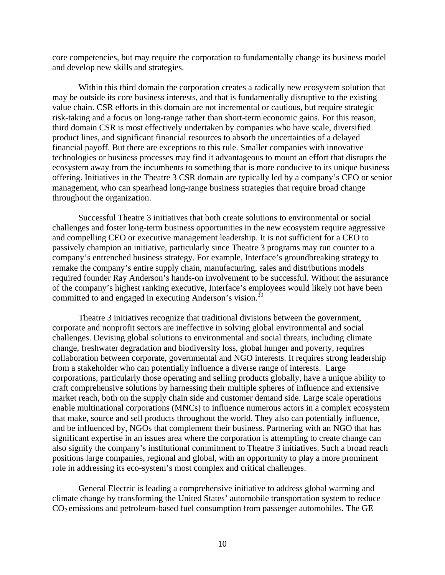core competencies, but may require the corporation to fundamentally change its business model and develop new skills and strategies.

 Within this third domain the corporation creates a radically new ecosystem solution that may be outside its core business interests, and that is fundamentally disruptive to the existing value chain. CSR efforts in this domain are not incremental or cautious, but require strategic risk-taking and a focus on long-range rather than short-term economic gains. For this reason, third domain CSR is most effectively undertaken by companies who have scale, diversified product lines, and significant financial resources to absorb the uncertainties of a delayed financial payoff. But there are exceptions to this rule. Smaller companies with innovative technologies or business processes may find it advantageous to mount an effort that disrupts the ecosystem away from the incumbents to something that is more conducive to its unique business offering. Initiatives in the Theatre 3 CSR domain are typically led by a company's CEO or senior management, who can spearhead long-range business strategies that require broad change throughout the organization.

 Successful Theatre 3 initiatives that both create solutions to environmental or social challenges and foster long-term business opportunities in the new ecosystem require aggressive and compelling CEO or executive management leadership. It is not sufficient for a CEO to passively champion an initiative, particularly since Theatre 3 programs may run counter to a company's entrenched business strategy. For example, Interface's groundbreaking strategy to remake the company's entire supply chain, manufacturing, sales and distributions models required founder Ray Anderson's hands-on involvement to be successful. Without the assurance of the company's highest ranking executive, Interface's employees would likely not have been committed to and engaged in executing Anderson's vision.<sup>39</sup>

 Theatre 3 initiatives recognize that traditional divisions between the government, corporate and nonprofit sectors are ineffective in solving global environmental and social challenges. Devising global solutions to environmental and social threats, including climate change, freshwater degradation and biodiversity loss, global hunger and poverty, requires collaboration between corporate, governmental and NGO interests. It requires strong leadership from a stakeholder who can potentially influence a diverse range of interests. Large corporations, particularly those operating and selling products globally, have a unique ability to craft comprehensive solutions by harnessing their multiple spheres of influence and extensive market reach, both on the supply chain side and customer demand side. Large scale operations enable multinational corporations (MNCs) to influence numerous actors in a complex ecosystem that make, source and sell products throughout the world. They also can potentially influence, and be influenced by, NGOs that complement their business. Partnering with an NGO that has significant expertise in an issues area where the corporation is attempting to create change can also signify the company's institutional commitment to Theatre 3 initiatives. Such a broad reach positions large companies, regional and global, with an opportunity to play a more prominent role in addressing its eco-system's most complex and critical challenges.

 General Electric is leading a comprehensive initiative to address global warming and climate change by transforming the United States' automobile transportation system to reduce  $CO<sub>2</sub>$  emissions and petroleum-based fuel consumption from passenger automobiles. The GE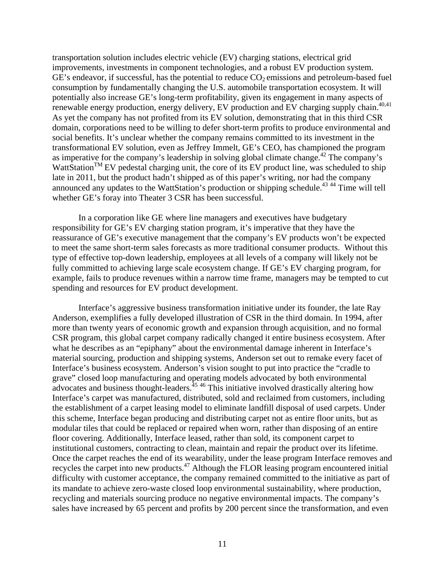transportation solution includes electric vehicle (EV) charging stations, electrical grid improvements, investments in component technologies, and a robust EV production system.  $GE's$  endeavor, if successful, has the potential to reduce  $CO<sub>2</sub>$  emissions and petroleum-based fuel consumption by fundamentally changing the U.S. automobile transportation ecosystem. It will potentially also increase GE's long-term profitability, given its engagement in many aspects of renewable energy production, energy delivery, EV production and EV charging supply chain.<sup>40,41</sup> As yet the company has not profited from its EV solution, demonstrating that in this third CSR domain, corporations need to be willing to defer short-term profits to produce environmental and social benefits. It's unclear whether the company remains committed to its investment in the transformational EV solution, even as Jeffrey Immelt, GE's CEO, has championed the program as imperative for the company's leadership in solving global climate change.<sup>42</sup> The company's WattStation<sup>TM</sup> EV pedestal charging unit, the core of its EV product line, was scheduled to ship late in 2011, but the product hadn't shipped as of this paper's writing, nor had the company announced any updates to the WattStation's production or shipping schedule.<sup>43 44</sup> Time will tell whether GE's foray into Theater 3 CSR has been successful.

 In a corporation like GE where line managers and executives have budgetary responsibility for GE's EV charging station program, it's imperative that they have the reassurance of GE's executive management that the company's EV products won't be expected to meet the same short-term sales forecasts as more traditional consumer products. Without this type of effective top-down leadership, employees at all levels of a company will likely not be fully committed to achieving large scale ecosystem change. If GE's EV charging program, for example, fails to produce revenues within a narrow time frame, managers may be tempted to cut spending and resources for EV product development.

 Interface's aggressive business transformation initiative under its founder, the late Ray Anderson, exemplifies a fully developed illustration of CSR in the third domain. In 1994, after more than twenty years of economic growth and expansion through acquisition, and no formal CSR program, this global carpet company radically changed it entire business ecosystem. After what he describes as an "epiphany" about the environmental damage inherent in Interface's material sourcing, production and shipping systems, Anderson set out to remake every facet of Interface's business ecosystem. Anderson's vision sought to put into practice the "cradle to grave" closed loop manufacturing and operating models advocated by both environmental advocates and business thought-leaders.<sup> $45, 46$ </sup> This initiative involved drastically altering how Interface's carpet was manufactured, distributed, sold and reclaimed from customers, including the establishment of a carpet leasing model to eliminate landfill disposal of used carpets. Under this scheme, Interface began producing and distributing carpet not as entire floor units, but as modular tiles that could be replaced or repaired when worn, rather than disposing of an entire floor covering. Additionally, Interface leased, rather than sold, its component carpet to institutional customers, contracting to clean, maintain and repair the product over its lifetime. Once the carpet reaches the end of its wearability, under the lease program Interface removes and recycles the carpet into new products.<sup>47</sup> Although the FLOR leasing program encountered initial difficulty with customer acceptance, the company remained committed to the initiative as part of its mandate to achieve zero-waste closed loop environmental sustainability, where production, recycling and materials sourcing produce no negative environmental impacts. The company's sales have increased by 65 percent and profits by 200 percent since the transformation, and even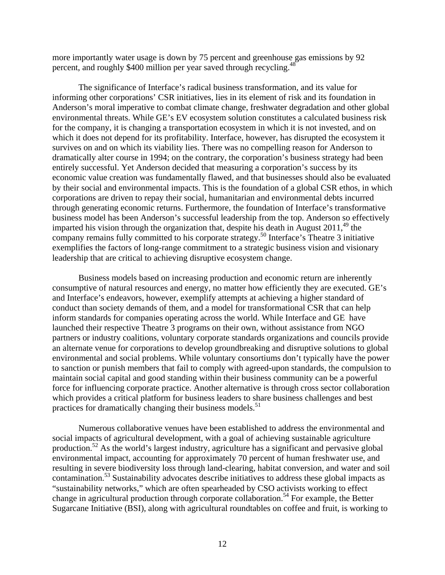more importantly water usage is down by 75 percent and greenhouse gas emissions by 92 percent, and roughly \$400 million per year saved through recycling.<sup>48</sup>

 The significance of Interface's radical business transformation, and its value for informing other corporations' CSR initiatives, lies in its element of risk and its foundation in Anderson's moral imperative to combat climate change, freshwater degradation and other global environmental threats. While GE's EV ecosystem solution constitutes a calculated business risk for the company, it is changing a transportation ecosystem in which it is not invested, and on which it does not depend for its profitability. Interface, however, has disrupted the ecosystem it survives on and on which its viability lies. There was no compelling reason for Anderson to dramatically alter course in 1994; on the contrary, the corporation's business strategy had been entirely successful. Yet Anderson decided that measuring a corporation's success by its economic value creation was fundamentally flawed, and that businesses should also be evaluated by their social and environmental impacts. This is the foundation of a global CSR ethos, in which corporations are driven to repay their social, humanitarian and environmental debts incurred through generating economic returns. Furthermore, the foundation of Interface's transformative business model has been Anderson's successful leadership from the top. Anderson so effectively imparted his vision through the organization that, despite his death in August  $2011<sup>49</sup>$ , the company remains fully committed to his corporate strategy.50 Interface's Theatre 3 initiative exemplifies the factors of long-range commitment to a strategic business vision and visionary leadership that are critical to achieving disruptive ecosystem change.

 Business models based on increasing production and economic return are inherently consumptive of natural resources and energy, no matter how efficiently they are executed. GE's and Interface's endeavors, however, exemplify attempts at achieving a higher standard of conduct than society demands of them, and a model for transformational CSR that can help inform standards for companies operating across the world. While Interface and GE have launched their respective Theatre 3 programs on their own, without assistance from NGO partners or industry coalitions, voluntary corporate standards organizations and councils provide an alternate venue for corporations to develop groundbreaking and disruptive solutions to global environmental and social problems. While voluntary consortiums don't typically have the power to sanction or punish members that fail to comply with agreed-upon standards, the compulsion to maintain social capital and good standing within their business community can be a powerful force for influencing corporate practice. Another alternative is through cross sector collaboration which provides a critical platform for business leaders to share business challenges and best practices for dramatically changing their business models.<sup>51</sup>

 Numerous collaborative venues have been established to address the environmental and social impacts of agricultural development, with a goal of achieving sustainable agriculture production.52 As the world's largest industry, agriculture has a significant and pervasive global environmental impact, accounting for approximately 70 percent of human freshwater use, and resulting in severe biodiversity loss through land-clearing, habitat conversion, and water and soil contamination.<sup>53</sup> Sustainability advocates describe initiatives to address these global impacts as "sustainability networks," which are often spearheaded by CSO activists working to effect change in agricultural production through corporate collaboration.<sup>54</sup> For example, the Better Sugarcane Initiative (BSI), along with agricultural roundtables on coffee and fruit, is working to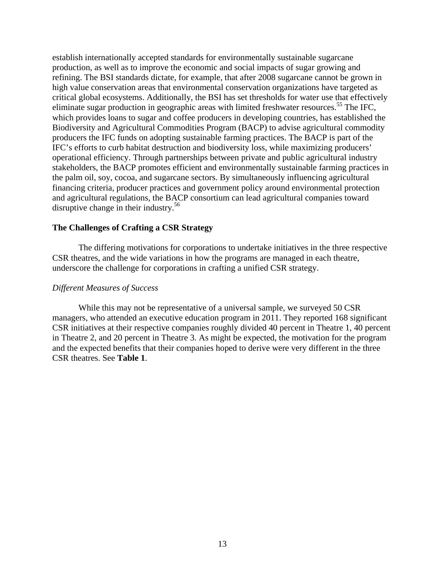establish internationally accepted standards for environmentally sustainable sugarcane production, as well as to improve the economic and social impacts of sugar growing and refining. The BSI standards dictate, for example, that after 2008 sugarcane cannot be grown in high value conservation areas that environmental conservation organizations have targeted as critical global ecosystems. Additionally, the BSI has set thresholds for water use that effectively eliminate sugar production in geographic areas with limited freshwater resources.<sup>55</sup> The IFC, which provides loans to sugar and coffee producers in developing countries, has established the Biodiversity and Agricultural Commodities Program (BACP) to advise agricultural commodity producers the IFC funds on adopting sustainable farming practices. The BACP is part of the IFC's efforts to curb habitat destruction and biodiversity loss, while maximizing producers' operational efficiency. Through partnerships between private and public agricultural industry stakeholders, the BACP promotes efficient and environmentally sustainable farming practices in the palm oil, soy, cocoa, and sugarcane sectors. By simultaneously influencing agricultural financing criteria, producer practices and government policy around environmental protection and agricultural regulations, the BACP consortium can lead agricultural companies toward disruptive change in their industry.<sup>56</sup>

## **The Challenges of Crafting a CSR Strategy**

 The differing motivations for corporations to undertake initiatives in the three respective CSR theatres, and the wide variations in how the programs are managed in each theatre, underscore the challenge for corporations in crafting a unified CSR strategy.

## *Different Measures of Success*

 While this may not be representative of a universal sample, we surveyed 50 CSR managers, who attended an executive education program in 2011. They reported 168 significant CSR initiatives at their respective companies roughly divided 40 percent in Theatre 1, 40 percent in Theatre 2, and 20 percent in Theatre 3. As might be expected, the motivation for the program and the expected benefits that their companies hoped to derive were very different in the three CSR theatres. See **Table 1**.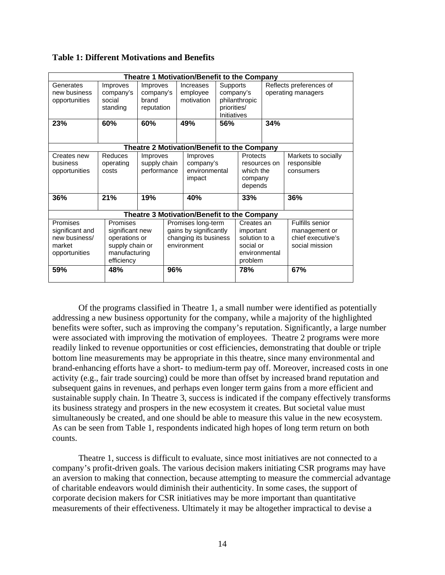| <b>Theatre 1 Motivation/Benefit to the Company</b> |                                                    |                                                     |     |                                            |                                                                                    |                                 |                                                      |                                     |  |  |
|----------------------------------------------------|----------------------------------------------------|-----------------------------------------------------|-----|--------------------------------------------|------------------------------------------------------------------------------------|---------------------------------|------------------------------------------------------|-------------------------------------|--|--|
| Generates<br>new business<br>opportunities<br>23%  | Improves<br>company's<br>social<br>standing<br>60% | Improves<br>company's<br>brand<br>reputation<br>60% |     | Increases<br>employee<br>motivation<br>49% | <b>Supports</b><br>company's<br>philanthropic<br>priorities/<br>Initiatives<br>56% |                                 | Reflects preferences of<br>operating managers<br>34% |                                     |  |  |
|                                                    |                                                    |                                                     |     |                                            |                                                                                    |                                 |                                                      |                                     |  |  |
| Creates new                                        | Reduces                                            | Improves                                            |     |                                            | Theatre 2 Motivation/Benefit to the Company<br>Improves                            |                                 |                                                      | Markets to socially                 |  |  |
| business                                           | operating                                          | supply chain                                        |     | company's                                  |                                                                                    | <b>Protects</b><br>resources on |                                                      | responsible                         |  |  |
| opportunities                                      | costs                                              | performance                                         |     | environmental                              |                                                                                    | which the                       |                                                      | consumers                           |  |  |
|                                                    |                                                    |                                                     |     | impact                                     |                                                                                    | company<br>depends              |                                                      |                                     |  |  |
| 36%                                                | 21%                                                | 19%                                                 |     | 40%                                        |                                                                                    | 33%                             |                                                      | 36%                                 |  |  |
| Theatre 3 Motivation/Benefit to the Company        |                                                    |                                                     |     |                                            |                                                                                    |                                 |                                                      |                                     |  |  |
| Promises                                           | Promises                                           |                                                     |     | Promises long-term                         |                                                                                    | Creates an                      |                                                      | Fulfills senior                     |  |  |
| significant and                                    | significant new                                    |                                                     |     | gains by significantly                     |                                                                                    | important                       |                                                      | management or                       |  |  |
| new business/<br>market                            | operations or<br>supply chain or                   |                                                     |     | changing its business<br>environment       |                                                                                    | solution to a<br>social or      |                                                      | chief executive's<br>social mission |  |  |
| opportunities                                      | manufacturing                                      |                                                     |     |                                            |                                                                                    | environmental                   |                                                      |                                     |  |  |
|                                                    | efficiency                                         |                                                     |     |                                            |                                                                                    | problem                         |                                                      |                                     |  |  |
| 59%                                                | 48%                                                |                                                     | 96% |                                            |                                                                                    | 78%                             |                                                      | 67%                                 |  |  |

**Table 1: Different Motivations and Benefits** 

Of the programs classified in Theatre 1, a small number were identified as potentially addressing a new business opportunity for the company, while a majority of the highlighted benefits were softer, such as improving the company's reputation. Significantly, a large number were associated with improving the motivation of employees. Theatre 2 programs were more readily linked to revenue opportunities or cost efficiencies, demonstrating that double or triple bottom line measurements may be appropriate in this theatre, since many environmental and brand-enhancing efforts have a short- to medium-term pay off. Moreover, increased costs in one activity (e.g., fair trade sourcing) could be more than offset by increased brand reputation and subsequent gains in revenues, and perhaps even longer term gains from a more efficient and sustainable supply chain. In Theatre 3, success is indicated if the company effectively transforms its business strategy and prospers in the new ecosystem it creates. But societal value must simultaneously be created, and one should be able to measure this value in the new ecosystem. As can be seen from Table 1, respondents indicated high hopes of long term return on both counts.

Theatre 1, success is difficult to evaluate, since most initiatives are not connected to a company's profit-driven goals. The various decision makers initiating CSR programs may have an aversion to making that connection, because attempting to measure the commercial advantage of charitable endeavors would diminish their authenticity. In some cases, the support of corporate decision makers for CSR initiatives may be more important than quantitative measurements of their effectiveness. Ultimately it may be altogether impractical to devise a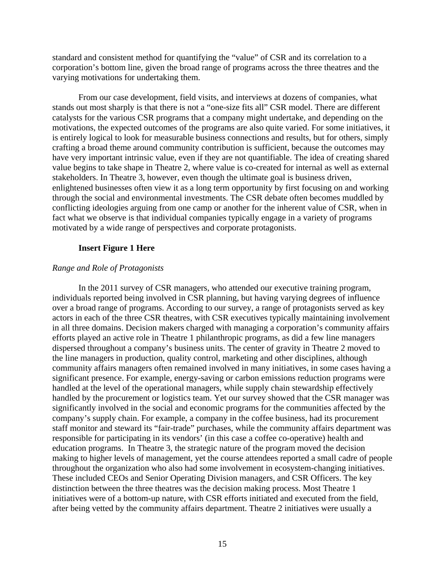standard and consistent method for quantifying the "value" of CSR and its correlation to a corporation's bottom line, given the broad range of programs across the three theatres and the varying motivations for undertaking them.

From our case development, field visits, and interviews at dozens of companies, what stands out most sharply is that there is not a "one-size fits all" CSR model. There are different catalysts for the various CSR programs that a company might undertake, and depending on the motivations, the expected outcomes of the programs are also quite varied. For some initiatives, it is entirely logical to look for measurable business connections and results, but for others, simply crafting a broad theme around community contribution is sufficient, because the outcomes may have very important intrinsic value, even if they are not quantifiable. The idea of creating shared value begins to take shape in Theatre 2, where value is co-created for internal as well as external stakeholders. In Theatre 3, however, even though the ultimate goal is business driven, enlightened businesses often view it as a long term opportunity by first focusing on and working through the social and environmental investments. The CSR debate often becomes muddled by conflicting ideologies arguing from one camp or another for the inherent value of CSR, when in fact what we observe is that individual companies typically engage in a variety of programs motivated by a wide range of perspectives and corporate protagonists.

#### **Insert Figure 1 Here**

#### *Range and Role of Protagonists*

 In the 2011 survey of CSR managers, who attended our executive training program, individuals reported being involved in CSR planning, but having varying degrees of influence over a broad range of programs. According to our survey, a range of protagonists served as key actors in each of the three CSR theatres, with CSR executives typically maintaining involvement in all three domains. Decision makers charged with managing a corporation's community affairs efforts played an active role in Theatre 1 philanthropic programs, as did a few line managers dispersed throughout a company's business units. The center of gravity in Theatre 2 moved to the line managers in production, quality control, marketing and other disciplines, although community affairs managers often remained involved in many initiatives, in some cases having a significant presence. For example, energy-saving or carbon emissions reduction programs were handled at the level of the operational managers, while supply chain stewardship effectively handled by the procurement or logistics team. Yet our survey showed that the CSR manager was significantly involved in the social and economic programs for the communities affected by the company's supply chain. For example, a company in the coffee business, had its procurement staff monitor and steward its "fair-trade" purchases, while the community affairs department was responsible for participating in its vendors' (in this case a coffee co-operative) health and education programs. In Theatre 3, the strategic nature of the program moved the decision making to higher levels of management, yet the course attendees reported a small cadre of people throughout the organization who also had some involvement in ecosystem-changing initiatives. These included CEOs and Senior Operating Division managers, and CSR Officers. The key distinction between the three theatres was the decision making process. Most Theatre 1 initiatives were of a bottom-up nature, with CSR efforts initiated and executed from the field, after being vetted by the community affairs department. Theatre 2 initiatives were usually a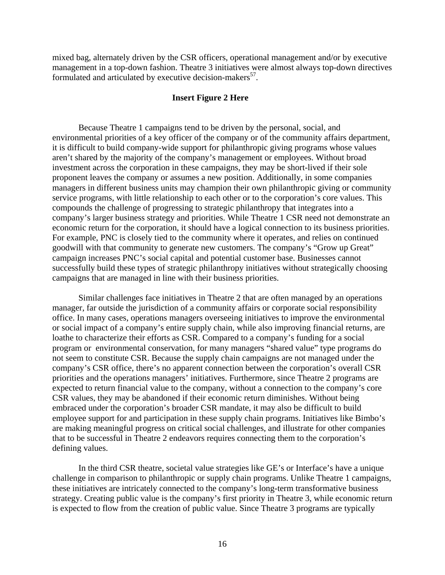mixed bag, alternately driven by the CSR officers, operational management and/or by executive management in a top-down fashion. Theatre 3 initiatives were almost always top-down directives formulated and articulated by executive decision-makers $57$ .

## **Insert Figure 2 Here**

 Because Theatre 1 campaigns tend to be driven by the personal, social, and environmental priorities of a key officer of the company or of the community affairs department, it is difficult to build company-wide support for philanthropic giving programs whose values aren't shared by the majority of the company's management or employees. Without broad investment across the corporation in these campaigns, they may be short-lived if their sole proponent leaves the company or assumes a new position. Additionally, in some companies managers in different business units may champion their own philanthropic giving or community service programs, with little relationship to each other or to the corporation's core values. This compounds the challenge of progressing to strategic philanthropy that integrates into a company's larger business strategy and priorities. While Theatre 1 CSR need not demonstrate an economic return for the corporation, it should have a logical connection to its business priorities. For example, PNC is closely tied to the community where it operates, and relies on continued goodwill with that community to generate new customers. The company's "Grow up Great" campaign increases PNC's social capital and potential customer base. Businesses cannot successfully build these types of strategic philanthropy initiatives without strategically choosing campaigns that are managed in line with their business priorities.

Similar challenges face initiatives in Theatre 2 that are often managed by an operations manager, far outside the jurisdiction of a community affairs or corporate social responsibility office. In many cases, operations managers overseeing initiatives to improve the environmental or social impact of a company's entire supply chain, while also improving financial returns, are loathe to characterize their efforts as CSR. Compared to a company's funding for a social program or environmental conservation, for many managers "shared value" type programs do not seem to constitute CSR. Because the supply chain campaigns are not managed under the company's CSR office, there's no apparent connection between the corporation's overall CSR priorities and the operations managers' initiatives. Furthermore, since Theatre 2 programs are expected to return financial value to the company, without a connection to the company's core CSR values, they may be abandoned if their economic return diminishes. Without being embraced under the corporation's broader CSR mandate, it may also be difficult to build employee support for and participation in these supply chain programs. Initiatives like Bimbo's are making meaningful progress on critical social challenges, and illustrate for other companies that to be successful in Theatre 2 endeavors requires connecting them to the corporation's defining values.

 In the third CSR theatre, societal value strategies like GE's or Interface's have a unique challenge in comparison to philanthropic or supply chain programs. Unlike Theatre 1 campaigns, these initiatives are intricately connected to the company's long-term transformative business strategy. Creating public value is the company's first priority in Theatre 3, while economic return is expected to flow from the creation of public value. Since Theatre 3 programs are typically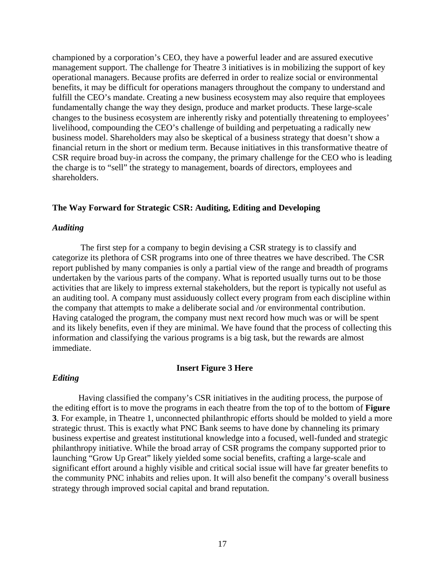championed by a corporation's CEO, they have a powerful leader and are assured executive management support. The challenge for Theatre 3 initiatives is in mobilizing the support of key operational managers. Because profits are deferred in order to realize social or environmental benefits, it may be difficult for operations managers throughout the company to understand and fulfill the CEO's mandate. Creating a new business ecosystem may also require that employees fundamentally change the way they design, produce and market products. These large-scale changes to the business ecosystem are inherently risky and potentially threatening to employees' livelihood, compounding the CEO's challenge of building and perpetuating a radically new business model. Shareholders may also be skeptical of a business strategy that doesn't show a financial return in the short or medium term. Because initiatives in this transformative theatre of CSR require broad buy-in across the company, the primary challenge for the CEO who is leading the charge is to "sell" the strategy to management, boards of directors, employees and shareholders.

## **The Way Forward for Strategic CSR: Auditing, Editing and Developing**

## *Auditing*

 The first step for a company to begin devising a CSR strategy is to classify and categorize its plethora of CSR programs into one of three theatres we have described. The CSR report published by many companies is only a partial view of the range and breadth of programs undertaken by the various parts of the company. What is reported usually turns out to be those activities that are likely to impress external stakeholders, but the report is typically not useful as an auditing tool. A company must assiduously collect every program from each discipline within the company that attempts to make a deliberate social and /or environmental contribution. Having cataloged the program, the company must next record how much was or will be spent and its likely benefits, even if they are minimal. We have found that the process of collecting this information and classifying the various programs is a big task, but the rewards are almost immediate.

### **Insert Figure 3 Here**

## *Editing*

Having classified the company's CSR initiatives in the auditing process, the purpose of the editing effort is to move the programs in each theatre from the top of to the bottom of **Figure 3**. For example, in Theatre 1, unconnected philanthropic efforts should be molded to yield a more strategic thrust. This is exactly what PNC Bank seems to have done by channeling its primary business expertise and greatest institutional knowledge into a focused, well-funded and strategic philanthropy initiative. While the broad array of CSR programs the company supported prior to launching "Grow Up Great" likely yielded some social benefits, crafting a large-scale and significant effort around a highly visible and critical social issue will have far greater benefits to the community PNC inhabits and relies upon. It will also benefit the company's overall business strategy through improved social capital and brand reputation.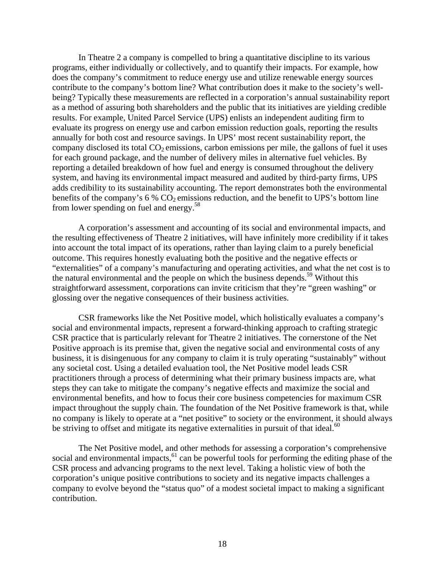In Theatre 2 a company is compelled to bring a quantitative discipline to its various programs, either individually or collectively, and to quantify their impacts. For example, how does the company's commitment to reduce energy use and utilize renewable energy sources contribute to the company's bottom line? What contribution does it make to the society's wellbeing? Typically these measurements are reflected in a corporation's annual sustainability report as a method of assuring both shareholders and the public that its initiatives are yielding credible results. For example, United Parcel Service (UPS) enlists an independent auditing firm to evaluate its progress on energy use and carbon emission reduction goals, reporting the results annually for both cost and resource savings. In UPS' most recent sustainability report, the company disclosed its total  $CO<sub>2</sub>$  emissions, carbon emissions per mile, the gallons of fuel it uses for each ground package, and the number of delivery miles in alternative fuel vehicles. By reporting a detailed breakdown of how fuel and energy is consumed throughout the delivery system, and having its environmental impact measured and audited by third-party firms, UPS adds credibility to its sustainability accounting. The report demonstrates both the environmental benefits of the company's  $6\%$  CO<sub>2</sub> emissions reduction, and the benefit to UPS's bottom line from lower spending on fuel and energy.<sup>58</sup>

A corporation's assessment and accounting of its social and environmental impacts, and the resulting effectiveness of Theatre 2 initiatives, will have infinitely more credibility if it takes into account the total impact of its operations, rather than laying claim to a purely beneficial outcome. This requires honestly evaluating both the positive and the negative effects or "externalities" of a company's manufacturing and operating activities, and what the net cost is to the natural environmental and the people on which the business depends.<sup>59</sup> Without this straightforward assessment, corporations can invite criticism that they're "green washing" or glossing over the negative consequences of their business activities.

CSR frameworks like the Net Positive model, which holistically evaluates a company's social and environmental impacts, represent a forward-thinking approach to crafting strategic CSR practice that is particularly relevant for Theatre 2 initiatives. The cornerstone of the Net Positive approach is its premise that, given the negative social and environmental costs of any business, it is disingenuous for any company to claim it is truly operating "sustainably" without any societal cost. Using a detailed evaluation tool, the Net Positive model leads CSR practitioners through a process of determining what their primary business impacts are, what steps they can take to mitigate the company's negative effects and maximize the social and environmental benefits, and how to focus their core business competencies for maximum CSR impact throughout the supply chain. The foundation of the Net Positive framework is that, while no company is likely to operate at a "net positive" to society or the environment, it should always be striving to offset and mitigate its negative externalities in pursuit of that ideal. $60$ 

The Net Positive model, and other methods for assessing a corporation's comprehensive social and environmental impacts, $61$  can be powerful tools for performing the editing phase of the CSR process and advancing programs to the next level. Taking a holistic view of both the corporation's unique positive contributions to society and its negative impacts challenges a company to evolve beyond the "status quo" of a modest societal impact to making a significant contribution.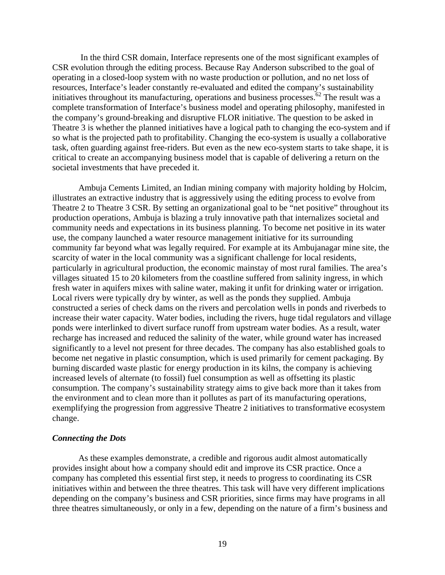In the third CSR domain, Interface represents one of the most significant examples of CSR evolution through the editing process. Because Ray Anderson subscribed to the goal of operating in a closed-loop system with no waste production or pollution, and no net loss of resources, Interface's leader constantly re-evaluated and edited the company's sustainability initiatives throughout its manufacturing, operations and business processes.<sup>62</sup> The result was a complete transformation of Interface's business model and operating philosophy, manifested in the company's ground-breaking and disruptive FLOR initiative. The question to be asked in Theatre 3 is whether the planned initiatives have a logical path to changing the eco-system and if so what is the projected path to profitability. Changing the eco-system is usually a collaborative task, often guarding against free-riders. But even as the new eco-system starts to take shape, it is critical to create an accompanying business model that is capable of delivering a return on the societal investments that have preceded it.

Ambuja Cements Limited, an Indian mining company with majority holding by Holcim, illustrates an extractive industry that is aggressively using the editing process to evolve from Theatre 2 to Theatre 3 CSR. By setting an organizational goal to be "net positive" throughout its production operations, Ambuja is blazing a truly innovative path that internalizes societal and community needs and expectations in its business planning. To become net positive in its water use, the company launched a water resource management initiative for its surrounding community far beyond what was legally required. For example at its Ambujanagar mine site, the scarcity of water in the local community was a significant challenge for local residents, particularly in agricultural production, the economic mainstay of most rural families. The area's villages situated 15 to 20 kilometers from the coastline suffered from salinity ingress, in which fresh water in aquifers mixes with saline water, making it unfit for drinking water or irrigation. Local rivers were typically dry by winter, as well as the ponds they supplied. Ambuja constructed a series of check dams on the rivers and percolation wells in ponds and riverbeds to increase their water capacity. Water bodies, including the rivers, huge tidal regulators and village ponds were interlinked to divert surface runoff from upstream water bodies. As a result, water recharge has increased and reduced the salinity of the water, while ground water has increased significantly to a level not present for three decades. The company has also established goals to become net negative in plastic consumption, which is used primarily for cement packaging. By burning discarded waste plastic for energy production in its kilns, the company is achieving increased levels of alternate (to fossil) fuel consumption as well as offsetting its plastic consumption. The company's sustainability strategy aims to give back more than it takes from the environment and to clean more than it pollutes as part of its manufacturing operations, exemplifying the progression from aggressive Theatre 2 initiatives to transformative ecosystem change.

#### *Connecting the Dots*

As these examples demonstrate, a credible and rigorous audit almost automatically provides insight about how a company should edit and improve its CSR practice. Once a company has completed this essential first step, it needs to progress to coordinating its CSR initiatives within and between the three theatres. This task will have very different implications depending on the company's business and CSR priorities, since firms may have programs in all three theatres simultaneously, or only in a few, depending on the nature of a firm's business and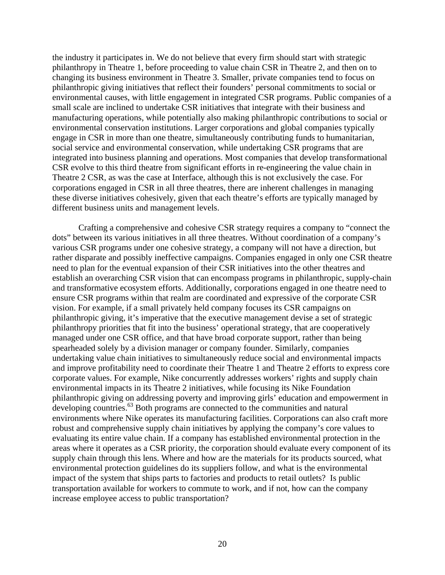the industry it participates in. We do not believe that every firm should start with strategic philanthropy in Theatre 1, before proceeding to value chain CSR in Theatre 2, and then on to changing its business environment in Theatre 3. Smaller, private companies tend to focus on philanthropic giving initiatives that reflect their founders' personal commitments to social or environmental causes, with little engagement in integrated CSR programs. Public companies of a small scale are inclined to undertake CSR initiatives that integrate with their business and manufacturing operations, while potentially also making philanthropic contributions to social or environmental conservation institutions. Larger corporations and global companies typically engage in CSR in more than one theatre, simultaneously contributing funds to humanitarian, social service and environmental conservation, while undertaking CSR programs that are integrated into business planning and operations. Most companies that develop transformational CSR evolve to this third theatre from significant efforts in re-engineering the value chain in Theatre 2 CSR, as was the case at Interface, although this is not exclusively the case. For corporations engaged in CSR in all three theatres, there are inherent challenges in managing these diverse initiatives cohesively, given that each theatre's efforts are typically managed by different business units and management levels.

 Crafting a comprehensive and cohesive CSR strategy requires a company to "connect the dots" between its various initiatives in all three theatres. Without coordination of a company's various CSR programs under one cohesive strategy, a company will not have a direction, but rather disparate and possibly ineffective campaigns. Companies engaged in only one CSR theatre need to plan for the eventual expansion of their CSR initiatives into the other theatres and establish an overarching CSR vision that can encompass programs in philanthropic, supply-chain and transformative ecosystem efforts. Additionally, corporations engaged in one theatre need to ensure CSR programs within that realm are coordinated and expressive of the corporate CSR vision. For example, if a small privately held company focuses its CSR campaigns on philanthropic giving, it's imperative that the executive management devise a set of strategic philanthropy priorities that fit into the business' operational strategy, that are cooperatively managed under one CSR office, and that have broad corporate support, rather than being spearheaded solely by a division manager or company founder. Similarly, companies undertaking value chain initiatives to simultaneously reduce social and environmental impacts and improve profitability need to coordinate their Theatre 1 and Theatre 2 efforts to express core corporate values. For example, Nike concurrently addresses workers' rights and supply chain environmental impacts in its Theatre 2 initiatives, while focusing its Nike Foundation philanthropic giving on addressing poverty and improving girls' education and empowerment in developing countries.<sup>63</sup> Both programs are connected to the communities and natural environments where Nike operates its manufacturing facilities. Corporations can also craft more robust and comprehensive supply chain initiatives by applying the company's core values to evaluating its entire value chain. If a company has established environmental protection in the areas where it operates as a CSR priority, the corporation should evaluate every component of its supply chain through this lens. Where and how are the materials for its products sourced, what environmental protection guidelines do its suppliers follow, and what is the environmental impact of the system that ships parts to factories and products to retail outlets? Is public transportation available for workers to commute to work, and if not, how can the company increase employee access to public transportation?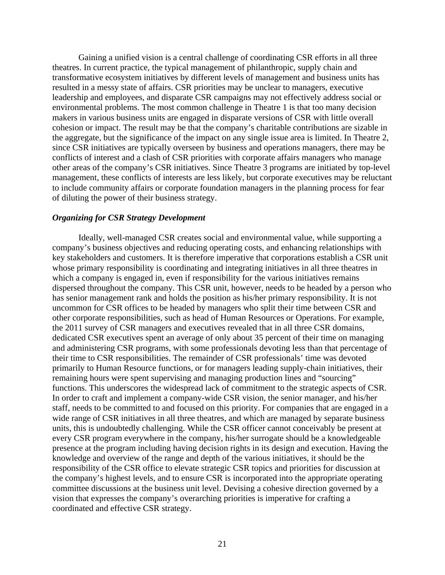Gaining a unified vision is a central challenge of coordinating CSR efforts in all three theatres. In current practice, the typical management of philanthropic, supply chain and transformative ecosystem initiatives by different levels of management and business units has resulted in a messy state of affairs. CSR priorities may be unclear to managers, executive leadership and employees, and disparate CSR campaigns may not effectively address social or environmental problems. The most common challenge in Theatre 1 is that too many decision makers in various business units are engaged in disparate versions of CSR with little overall cohesion or impact. The result may be that the company's charitable contributions are sizable in the aggregate, but the significance of the impact on any single issue area is limited. In Theatre 2, since CSR initiatives are typically overseen by business and operations managers, there may be conflicts of interest and a clash of CSR priorities with corporate affairs managers who manage other areas of the company's CSR initiatives. Since Theatre 3 programs are initiated by top-level management, these conflicts of interests are less likely, but corporate executives may be reluctant to include community affairs or corporate foundation managers in the planning process for fear of diluting the power of their business strategy.

## *Organizing for CSR Strategy Development*

 Ideally, well-managed CSR creates social and environmental value, while supporting a company's business objectives and reducing operating costs, and enhancing relationships with key stakeholders and customers. It is therefore imperative that corporations establish a CSR unit whose primary responsibility is coordinating and integrating initiatives in all three theatres in which a company is engaged in, even if responsibility for the various initiatives remains dispersed throughout the company. This CSR unit, however, needs to be headed by a person who has senior management rank and holds the position as his/her primary responsibility. It is not uncommon for CSR offices to be headed by managers who split their time between CSR and other corporate responsibilities, such as head of Human Resources or Operations. For example, the 2011 survey of CSR managers and executives revealed that in all three CSR domains, dedicated CSR executives spent an average of only about 35 percent of their time on managing and administering CSR programs, with some professionals devoting less than that percentage of their time to CSR responsibilities. The remainder of CSR professionals' time was devoted primarily to Human Resource functions, or for managers leading supply-chain initiatives, their remaining hours were spent supervising and managing production lines and "sourcing" functions. This underscores the widespread lack of commitment to the strategic aspects of CSR. In order to craft and implement a company-wide CSR vision, the senior manager, and his/her staff, needs to be committed to and focused on this priority. For companies that are engaged in a wide range of CSR initiatives in all three theatres, and which are managed by separate business units, this is undoubtedly challenging. While the CSR officer cannot conceivably be present at every CSR program everywhere in the company, his/her surrogate should be a knowledgeable presence at the program including having decision rights in its design and execution. Having the knowledge and overview of the range and depth of the various initiatives, it should be the responsibility of the CSR office to elevate strategic CSR topics and priorities for discussion at the company's highest levels, and to ensure CSR is incorporated into the appropriate operating committee discussions at the business unit level. Devising a cohesive direction governed by a vision that expresses the company's overarching priorities is imperative for crafting a coordinated and effective CSR strategy.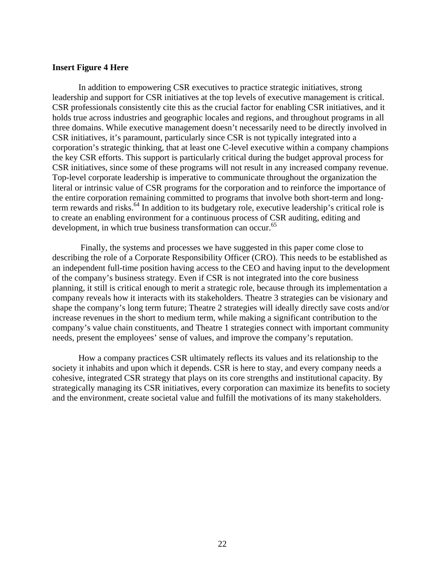## **Insert Figure 4 Here**

 In addition to empowering CSR executives to practice strategic initiatives, strong leadership and support for CSR initiatives at the top levels of executive management is critical. CSR professionals consistently cite this as the crucial factor for enabling CSR initiatives, and it holds true across industries and geographic locales and regions, and throughout programs in all three domains. While executive management doesn't necessarily need to be directly involved in CSR initiatives, it's paramount, particularly since CSR is not typically integrated into a corporation's strategic thinking, that at least one C-level executive within a company champions the key CSR efforts. This support is particularly critical during the budget approval process for CSR initiatives, since some of these programs will not result in any increased company revenue. Top-level corporate leadership is imperative to communicate throughout the organization the literal or intrinsic value of CSR programs for the corporation and to reinforce the importance of the entire corporation remaining committed to programs that involve both short-term and longterm rewards and risks.<sup>64</sup> In addition to its budgetary role, executive leadership's critical role is to create an enabling environment for a continuous process of CSR auditing, editing and development, in which true business transformation can occur.<sup>65</sup>

 Finally, the systems and processes we have suggested in this paper come close to describing the role of a Corporate Responsibility Officer (CRO). This needs to be established as an independent full-time position having access to the CEO and having input to the development of the company's business strategy. Even if CSR is not integrated into the core business planning, it still is critical enough to merit a strategic role, because through its implementation a company reveals how it interacts with its stakeholders. Theatre 3 strategies can be visionary and shape the company's long term future; Theatre 2 strategies will ideally directly save costs and/or increase revenues in the short to medium term, while making a significant contribution to the company's value chain constituents, and Theatre 1 strategies connect with important community needs, present the employees' sense of values, and improve the company's reputation.

 How a company practices CSR ultimately reflects its values and its relationship to the society it inhabits and upon which it depends. CSR is here to stay, and every company needs a cohesive, integrated CSR strategy that plays on its core strengths and institutional capacity. By strategically managing its CSR initiatives, every corporation can maximize its benefits to society and the environment, create societal value and fulfill the motivations of its many stakeholders.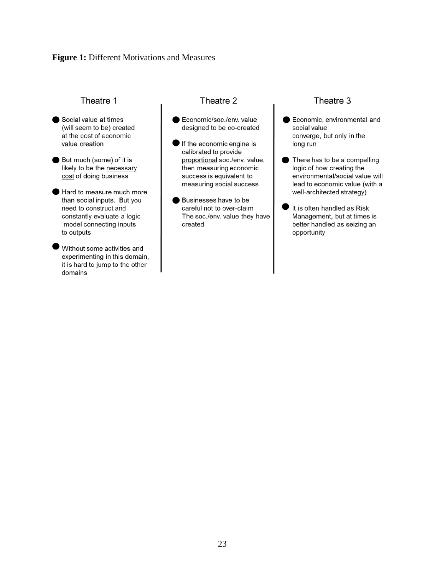## **Figure 1:** Different Motivations and Measures

## Theatre 1

- Social value at times (will seem to be) created at the cost of economic value creation
- But much (some) of it is likely to be the necessary cost of doing business
- Hard to measure much more than social inputs. But you need to construct and constantly evaluate a logic model connecting inputs to outputs
- Without some activities and experimenting in this domain, it is hard to jump to the other domains

## Theatre 2

- Economic/soc./env. value designed to be co-created
- $\blacksquare$  If the economic engine is calibrated to provide proportional soc./env. value, then measuring economic success is equivalent to measuring social success
- Businesses have to be careful not to over-claim The soc./env. value they have created

## Theatre 3

- Economic, environmental and social value converge, but only in the long run
- There has to be a compelling logic of how creating the environmental/social value will lead to economic value (with a well-architected strategy)
- It is often handled as Risk Management, but at times is better handled as seizing an opportunity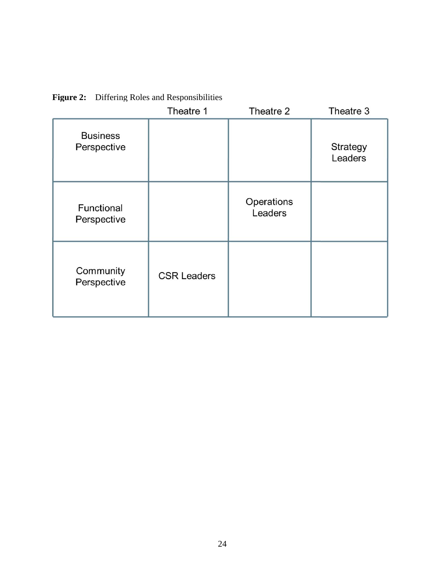|                                | Theatre 1          | Theatre 2             | Theatre 3           |
|--------------------------------|--------------------|-----------------------|---------------------|
| <b>Business</b><br>Perspective |                    |                       | Strategy<br>Leaders |
| Functional<br>Perspective      |                    | Operations<br>Leaders |                     |
| Community<br>Perspective       | <b>CSR Leaders</b> |                       |                     |

**Figure 2:** Differing Roles and Responsibilities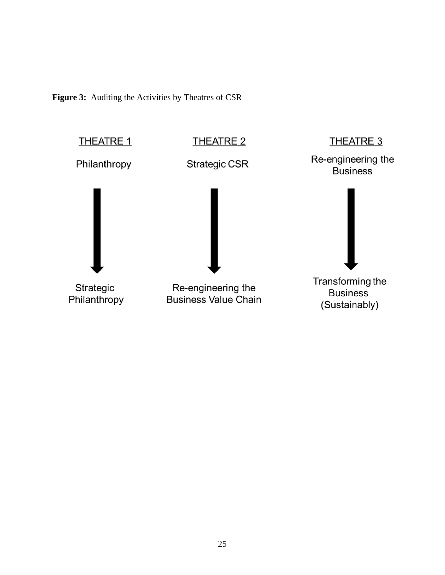Figure 3: Auditing the Activities by Theatres of CSR

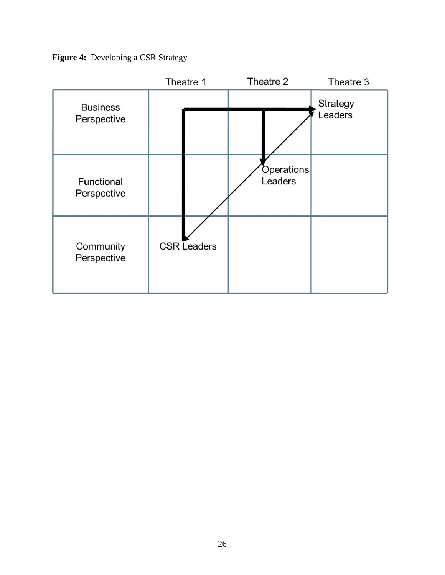**Figure 4:** Developing a CSR Strategy

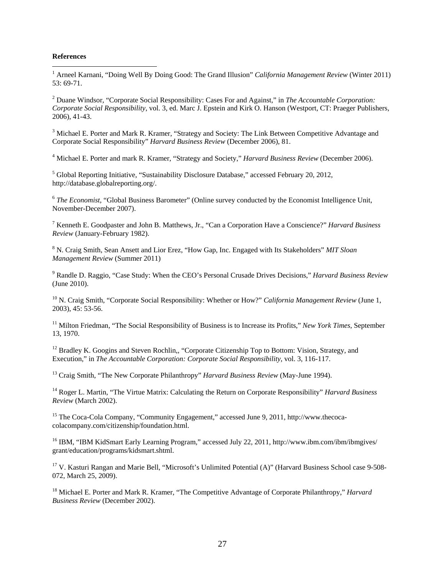#### **References**

 $\overline{a}$ 

<sup>1</sup> Arneel Karnani, "Doing Well By Doing Good: The Grand Illusion" *California Management Review* (Winter 2011)  $53.69 - 71$ 

2 Duane Windsor, "Corporate Social Responsibility: Cases For and Against," in *The Accountable Corporation: Corporate Social Responsibility*, vol. 3, ed. Marc J. Epstein and Kirk O. Hanson (Westport, CT: Praeger Publishers, 2006), 41-43.

<sup>3</sup> Michael E. Porter and Mark R. Kramer, "Strategy and Society: The Link Between Competitive Advantage and Corporate Social Responsibility" *Harvard Business Review* (December 2006), 81.

4 Michael E. Porter and mark R. Kramer, "Strategy and Society," *Harvard Business Review* (December 2006).

<sup>5</sup> Global Reporting Initiative, "Sustainability Disclosure Database," accessed February 20, 2012, http://database.globalreporting.org/.

<sup>6</sup> *The Economist,* "Global Business Barometer" (Online survey conducted by the Economist Intelligence Unit, November-December 2007).

7 Kenneth E. Goodpaster and John B. Matthews, Jr., "Can a Corporation Have a Conscience?" *Harvard Business Review* (January-February 1982).

8 N. Craig Smith, Sean Ansett and Lior Erez, "How Gap, Inc. Engaged with Its Stakeholders" *MIT Sloan Management Review* (Summer 2011)

9 Randle D. Raggio, "Case Study: When the CEO's Personal Crusade Drives Decisions," *Harvard Business Review* (June 2010).

10 N. Craig Smith, "Corporate Social Responsibility: Whether or How?" *California Management Review* (June 1, 2003), 45: 53-56.

<sup>11</sup> Milton Friedman, "The Social Responsibility of Business is to Increase its Profits," *New York Times*, September 13, 1970.

<sup>12</sup> Bradley K. Googins and Steven Rochlin,, "Corporate Citizenship Top to Bottom: Vision, Strategy, and Execution," in *The Accountable Corporation: Corporate Social Responsibility*, vol. 3, 116-117.

13 Craig Smith, "The New Corporate Philanthropy" *Harvard Business Review* (May-June 1994).

14 Roger L. Martin, "The Virtue Matrix: Calculating the Return on Corporate Responsibility" *Harvard Business Review* (March 2002).

<sup>15</sup> The Coca-Cola Company, "Community Engagement," accessed June 9, 2011, http://www.thecocacolacompany.com/citizenship/foundation.html.

<sup>16</sup> IBM, "IBM KidSmart Early Learning Program," accessed July 22, 2011, http://www.ibm.com/ibm/ibmgives/ grant/education/programs/kidsmart.shtml.

<sup>17</sup> V. Kasturi Rangan and Marie Bell, "Microsoft's Unlimited Potential (A)" (Harvard Business School case 9-508-072, March 25, 2009).

18 Michael E. Porter and Mark R. Kramer, "The Competitive Advantage of Corporate Philanthropy," *Harvard Business Review* (December 2002).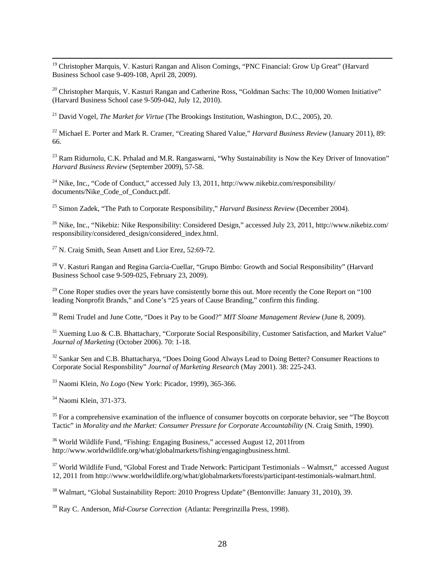<sup>19</sup> Christopher Marquis, V. Kasturi Rangan and Alison Comings, "PNC Financial: Grow Up Great" (Harvard Business School case 9-409-108, April 28, 2009).

<sup>20</sup> Christopher Marquis, V. Kasturi Rangan and Catherine Ross, "Goldman Sachs: The 10,000 Women Initiative" (Harvard Business School case 9-509-042, July 12, 2010).

21 David Vogel, *The Market for Virtue* (The Brookings Institution, Washington, D.C., 2005), 20.

22 Michael E. Porter and Mark R. Cramer, "Creating Shared Value," *Harvard Business Review* (January 2011), 89: 66.

<sup>23</sup> Ram Ridurnolu, C.K. Prhalad and M.R. Rangaswarni, "Why Sustainability is Now the Key Driver of Innovation" *Harvard Business Review* (September 2009), 57-58.

<sup>24</sup> Nike, Inc., "Code of Conduct," accessed July 13, 2011, http://www.nikebiz.com/responsibility/ documents/Nike\_Code\_of\_Conduct.pdf.

25 Simon Zadek, "The Path to Corporate Responsibility," *Harvard Business Review* (December 2004).

<sup>26</sup> Nike, Inc., "Nikebiz: Nike Responsibility: Considered Design," accessed July 23, 2011, http://www.nikebiz.com/ responsibility/considered\_design/considered\_index.html.

27 N. Craig Smith, Sean Ansett and Lior Erez, 52:69-72.

<sup>28</sup> V. Kasturi Rangan and Regina Garcia-Cuellar, "Grupo Bimbo: Growth and Social Responsibility" (Harvard Business School case 9-509-025, February 23, 2009).

 $29$  Cone Roper studies over the years have consistently borne this out. More recently the Cone Report on "100" leading Nonprofit Brands," and Cone's "25 years of Cause Branding," confirm this finding.

30 Remi Trudel and June Cotte, "Does it Pay to be Good?" *MIT Sloane Management Review* (June 8, 2009).

<sup>31</sup> Xueming Luo & C.B. Bhattachary, "Corporate Social Responsibility, Customer Satisfaction, and Market Value" *Journal of Marketing* (October 2006). 70: 1-18.

<sup>32</sup> Sankar Sen and C.B. Bhattacharya, "Does Doing Good Always Lead to Doing Better? Consumer Reactions to Corporate Social Responsbility" *Journal of Marketing Research* (May 2001). 38: 225-243.

33 Naomi Klein, *No Logo* (New York: Picador, 1999), 365-366.

34 Naomi Klein, 371-373.

<sup>35</sup> For a comprehensive examination of the influence of consumer boycotts on corporate behavior, see "The Boycott" Tactic" in *Morality and the Market: Consumer Pressure for Corporate Accountability* (N. Craig Smith, 1990).

<sup>36</sup> World Wildlife Fund, "Fishing: Engaging Business," accessed August 12, 2011from http://www.worldwildlife.org/what/globalmarkets/fishing/engagingbusiness.html.

<sup>37</sup> World Wildlife Fund, "Global Forest and Trade Network: Participant Testimonials – Walmsrt," accessed August 12, 2011 from http://www.worldwildlife.org/what/globalmarkets/forests/participant-testimonials-walmart.html.

<sup>38</sup> Walmart, "Global Sustainability Report: 2010 Progress Update" (Bentonville: January 31, 2010), 39.

39 Ray C. Anderson, *Mid-Course Correction* (Atlanta: Peregrinzilla Press, 1998).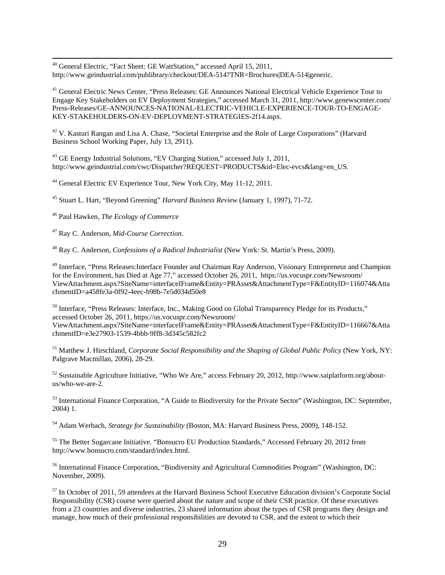40 General Electric, "Fact Sheet: GE WattStation," accessed April 15, 2011, http://www.geindustrial.com/publibrary/checkout/DEA-514?TNR=Brochures|DEA-514|generic.

<sup>41</sup> General Electric News Center, "Press Releases: GE Announces National Electrical Vehicle Experience Tour to Engage Key Stakeholders on EV Deployment Strategies," accessed March 31, 2011, http://www.genewscenter.com/ Press-Releases/GE-ANNOUNCES-NATIONAL-ELECTRIC-VEHICLE-EXPERIENCE-TOUR-TO-ENGAGE-KEY-STAKEHOLDERS-ON-EV-DEPLOYMENT-STRATEGIES-2f14.aspx.

<sup>42</sup> V. Kasturi Rangan and Lisa A. Chase, "Societal Enterprise and the Role of Large Corporations" (Harvard Business School Working Paper, July 13, 2911).

43 GE Energy Industrial Solutions, "EV Charging Station," accessed July 1, 2011, http://www.geindustrial.com/cwc/Dispatcher?REQUEST=PRODUCTS&id=Elec-evcs&lang=en\_US.

44 General Electric EV Experience Tour, New York City, May 11-12, 2011.

45 Stuart L. Hart, "Beyond Greening" *Harvard Business Review* (January 1, 1997), 71-72.

46 Paul Hawken, *The Ecology of Commerce*

47 Ray C. Anderson, *Mid-Course Correction*.

48 Ray C. Anderson, *Confessions of a Radical Industrialist* (New York: St. Martin's Press, 2009).

<sup>49</sup> Interface, "Press Releases: Interface Founder and Chairman Ray Anderson, Visionary Entrepreneur and Champion for the Environment, has Died at Age 77," accessed October 26, 2011, https://us.vocuspr.com/Newsroom/ ViewAttachment.aspx?SiteName=interfaceIFrame&Entity=PRAsset&AttachmentType=F&EntityID=116074&Atta chmentID=a458fe3a-0f92-4eec-b98b-7e5d034d50e8

<sup>50</sup> Interface, "Press Releases: Interface, Inc., Making Good on Global Transparency Pledge for its Products," accessed October 26, 2011, https://us.vocuspr.com/Newsroom/ ViewAttachment.aspx?SiteName=interfaceIFrame&Entity=PRAsset&AttachmentType=F&EntityID=116667&Atta chmentID=e3e27903-1539-4bbb-9ff8-3d345c582fc2

51 Matthew J. Hirschland, *Corporate Social Responsibility and the Shaping of Global Public Policy* (New York, NY: Palgrave Macmillan, 2006), 28-29.

52 Sustainable Agriculture Initiative, "Who We Are," access February 20, 2012, http://www.saiplatform.org/aboutus/who-we-are-2.

<sup>53</sup> International Finance Corporation, "A Guide to Biodiversity for the Private Sector" (Washington, DC: September, 2004) 1.

54 Adam Werbach, *Strategy for Sustainability* (Boston, MA: Harvard Business Press, 2009), 148-152.

55 The Better Sugarcane Initiative. "Bonsucro EU Production Standards," Accessed February 20, 2012 from http://www.bonsucro.com/standard/index.html.

<sup>56</sup> International Finance Corporation, "Biodiversity and Agricultural Commodities Program" (Washington, DC: November, 2009).

 $57$  In October of 2011, 59 attendees at the Harvard Business School Executive Education division's Corporate Social Responsibility (CSR) course were queried about the nature and scope of their CSR practice. Of these executives from a 23 countries and diverse industries, 23 shared information about the types of CSR programs they design and manage, how much of their professional responsibilities are devoted to CSR, and the extent to which their